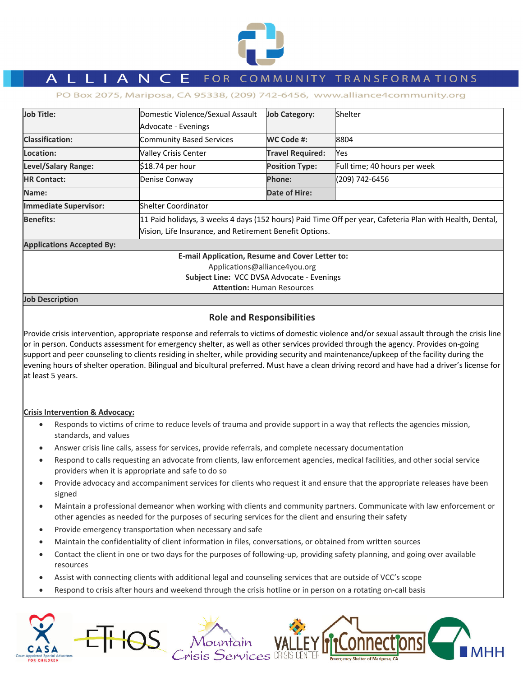

# L L I A N C E FOR COMMUNITY TRANSFORMATIONS

PO Box 2075, Mariposa, CA 95338, (209) 742-6456, www.alliance4community.org

| <b>Job Title:</b>                                       | Domestic Violence/Sexual Assault                                                                         | <b>Job Category:</b>    | <b>Shelter</b>               |  |  |
|---------------------------------------------------------|----------------------------------------------------------------------------------------------------------|-------------------------|------------------------------|--|--|
|                                                         | Advocate - Evenings                                                                                      |                         |                              |  |  |
| <b>Classification:</b>                                  | Community Based Services                                                                                 | WC Code #:              | 8804                         |  |  |
| Location:                                               | <b>Valley Crisis Center</b>                                                                              | <b>Travel Required:</b> | Yes                          |  |  |
| <b>Level/Salary Range:</b>                              | \$18.74 per hour                                                                                         | <b>Position Type:</b>   | Full time; 40 hours per week |  |  |
| <b>HR Contact:</b>                                      | Denise Conway                                                                                            | <b>Phone:</b>           | (209) 742-6456               |  |  |
| Name:                                                   |                                                                                                          | Date of Hire:           |                              |  |  |
| <b>Immediate Supervisor:</b>                            | lShelter Coordinator                                                                                     |                         |                              |  |  |
| <b>Benefits:</b>                                        | 11 Paid holidays, 3 weeks 4 days (152 hours) Paid Time Off per year, Cafeteria Plan with Health, Dental, |                         |                              |  |  |
| Vision, Life Insurance, and Retirement Benefit Options. |                                                                                                          |                         |                              |  |  |
| <b>Applications Accepted By:</b>                        |                                                                                                          |                         |                              |  |  |
| <b>E-mail Application, Resume and Cover Letter to:</b>  |                                                                                                          |                         |                              |  |  |
| Applications@alliance4you.org                           |                                                                                                          |                         |                              |  |  |

**Subject Line:** VCC DVSA Advocate ‐ Evenings

**Attention:** Human Resources

#### **Job Description**

# **Role and Responsibilities**

Provide crisis intervention, appropriate response and referrals to victims of domestic violence and/or sexual assault through the crisis line or in person. Conducts assessment for emergency shelter, as well as other services provided through the agency. Provides on‐going support and peer counseling to clients residing in shelter, while providing security and maintenance/upkeep of the facility during the evening hours of shelter operation. Bilingual and bicultural preferred. Must have a clean driving record and have had a driver's license for at least 5 years.

## **Crisis Intervention & Advocacy:**

- Responds to victims of crime to reduce levels of trauma and provide support in a way that reflects the agencies mission, standards, and values
- Answer crisis line calls, assess for services, provide referrals, and complete necessary documentation
- Respond to calls requesting an advocate from clients, law enforcement agencies, medical facilities, and other social service providers when it is appropriate and safe to do so
- Provide advocacy and accompaniment services for clients who request it and ensure that the appropriate releases have been signed
- Maintain a professional demeanor when working with clients and community partners. Communicate with law enforcement or other agencies as needed for the purposes of securing services for the client and ensuring their safety
- Provide emergency transportation when necessary and safe
- Maintain the confidentiality of client information in files, conversations, or obtained from written sources
- Contact the client in one or two days for the purposes of following‐up, providing safety planning, and going over available resources
- Assist with connecting clients with additional legal and counseling services that are outside of VCC's scope
- Respond to crisis after hours and weekend through the crisis hotline or in person on a rotating on-call basis

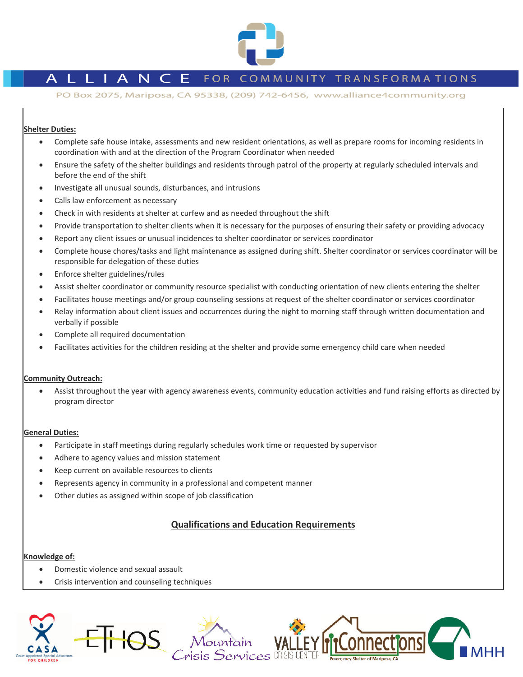

# L L I A N C E FOR COMMUNITY TRANSFORMATIONS

PO Box 2075, Mariposa, CA 95338, (209) 742-6456, www.alliance4community.org

# **Shelter Duties:**

- Complete safe house intake, assessments and new resident orientations, as well as prepare rooms for incoming residents in coordination with and at the direction of the Program Coordinator when needed
- Ensure the safety of the shelter buildings and residents through patrol of the property at regularly scheduled intervals and before the end of the shift
- Investigate all unusual sounds, disturbances, and intrusions
- Calls law enforcement as necessary
- Check in with residents at shelter at curfew and as needed throughout the shift
- Provide transportation to shelter clients when it is necessary for the purposes of ensuring their safety or providing advocacy
- Report any client issues or unusual incidences to shelter coordinator or services coordinator
- Complete house chores/tasks and light maintenance as assigned during shift. Shelter coordinator or services coordinator will be responsible for delegation of these duties
- Enforce shelter guidelines/rules
- Assist shelter coordinator or community resource specialist with conducting orientation of new clients entering the shelter
- Facilitates house meetings and/or group counseling sessions at request of the shelter coordinator or services coordinator
- Relay information about client issues and occurrences during the night to morning staff through written documentation and verbally if possible
- Complete all required documentation
- Facilitates activities for the children residing at the shelter and provide some emergency child care when needed

## **Community Outreach:**

 Assist throughout the year with agency awareness events, community education activities and fund raising efforts as directed by program director

#### **General Duties:**

- Participate in staff meetings during regularly schedules work time or requested by supervisor
- Adhere to agency values and mission statement
- Keep current on available resources to clients
- Represents agency in community in a professional and competent manner
- Other duties as assigned within scope of job classification

# **Qualifications and Education Requirements**

#### **Knowledge of:**

- Domestic violence and sexual assault
- Crisis intervention and counseling techniques

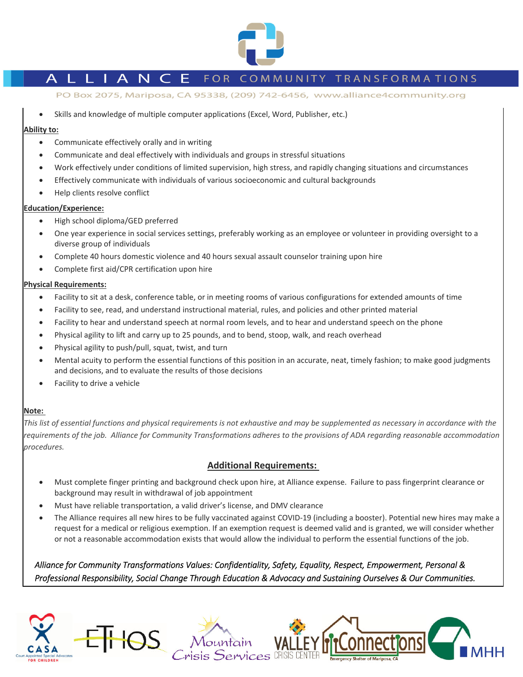

# L I A N C E FOR COMMUNITY TRANSFORMATIONS

PO Box 2075, Mariposa, CA 95338, (209) 742-6456, www.alliance4community.org

Skills and knowledge of multiple computer applications (Excel, Word, Publisher, etc.)

### **Ability to:**

- Communicate effectively orally and in writing
- Communicate and deal effectively with individuals and groups in stressful situations
- Work effectively under conditions of limited supervision, high stress, and rapidly changing situations and circumstances
- Effectively communicate with individuals of various socioeconomic and cultural backgrounds
- Help clients resolve conflict

## **Education/Experience:**

- High school diploma/GED preferred
- One year experience in social services settings, preferably working as an employee or volunteer in providing oversight to a diverse group of individuals
- Complete 40 hours domestic violence and 40 hours sexual assault counselor training upon hire
- Complete first aid/CPR certification upon hire

#### **Physical Requirements:**

- Facility to sit at a desk, conference table, or in meeting rooms of various configurations for extended amounts of time
- Facility to see, read, and understand instructional material, rules, and policies and other printed material
- Facility to hear and understand speech at normal room levels, and to hear and understand speech on the phone
- Physical agility to lift and carry up to 25 pounds, and to bend, stoop, walk, and reach overhead
- Physical agility to push/pull, squat, twist, and turn
- Mental acuity to perform the essential functions of this position in an accurate, neat, timely fashion; to make good judgments and decisions, and to evaluate the results of those decisions
- Facility to drive a vehicle

## **Note:**

This list of essential functions and physical requirements is not exhaustive and may be supplemented as necessary in accordance with the requirements of the job. Alliance for Community Transformations adheres to the provisions of ADA regarding reasonable accommodation *procedures.* 

# **Additional Requirements:**

- Must complete finger printing and background check upon hire, at Alliance expense. Failure to pass fingerprint clearance or background may result in withdrawal of job appointment
- Must have reliable transportation, a valid driver's license, and DMV clearance
- The Alliance requires all new hires to be fully vaccinated against COVID‐19 (including a booster). Potential new hires may make a request for a medical or religious exemption. If an exemption request is deemed valid and is granted, we will consider whether or not a reasonable accommodation exists that would allow the individual to perform the essential functions of the job.

Alliance for Community Transformations Values: Confidentiality, Safety, Equality, Respect, Empowerment, Personal & Professional Responsibility, Social Change Through Education & Advocacy and Sustaining Ourselves & Our Communities.